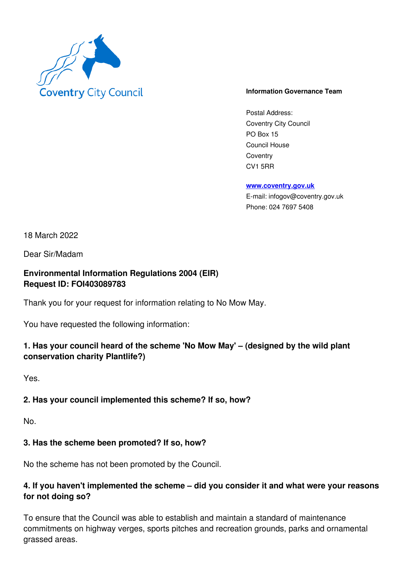

#### **Information Governance Team**

Postal Address: Coventry City Council PO Box 15 Council House **Coventry** CV1 5RR

**www.coventry.gov.uk**

E-mail: infogov@coventry.gov.uk Phone: 024 7697 5408

18 March 2022

Dear Sir/Madam

### **Environmental Information Regulations 2004 (EIR) Request ID: FOI403089783**

Thank you for your request for information relating to No Mow May.

You have requested the following information:

# **1. Has your council heard of the scheme 'No Mow May' – (designed by the wild plant conservation charity Plantlife?)**

Yes.

### **2. Has your council implemented this scheme? If so, how?**

No.

### **3. Has the scheme been promoted? If so, how?**

No the scheme has not been promoted by the Council.

# **4. If you haven't implemented the scheme – did you consider it and what were your reasons for not doing so?**

To ensure that the Council was able to establish and maintain a standard of maintenance commitments on highway verges, sports pitches and recreation grounds, parks and ornamental grassed areas.